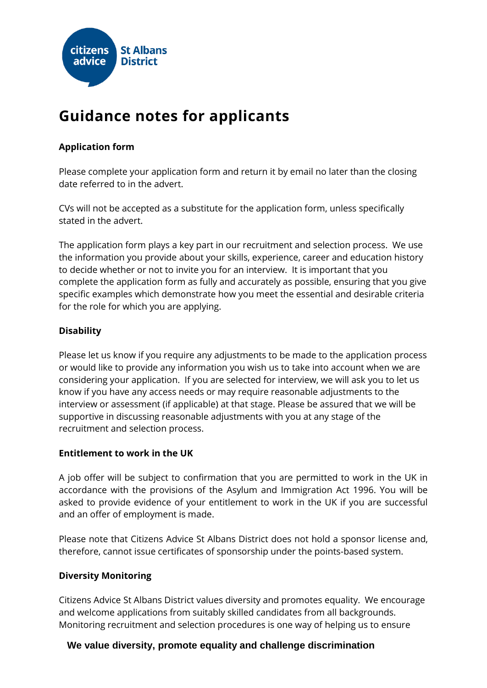

# **Guidance notes for applicants**

# **Application form**

Please complete your application form and return it by email no later than the closing date referred to in the advert.

CVs will not be accepted as a substitute for the application form, unless specifically stated in the advert.

The application form plays a key part in our recruitment and selection process. We use the information you provide about your skills, experience, career and education history to decide whether or not to invite you for an interview. It is important that you complete the application form as fully and accurately as possible, ensuring that you give specific examples which demonstrate how you meet the essential and desirable criteria for the role for which you are applying.

# **Disability**

Please let us know if you require any adjustments to be made to the application process or would like to provide any information you wish us to take into account when we are considering your application. If you are selected for interview, we will ask you to let us know if you have any access needs or may require reasonable adjustments to the interview or assessment (if applicable) at that stage. Please be assured that we will be supportive in discussing reasonable adjustments with you at any stage of the recruitment and selection process.

# **Entitlement to work in the UK**

A job offer will be subject to confirmation that you are permitted to work in the UK in accordance with the provisions of the Asylum and Immigration Act 1996. You will be asked to provide evidence of your entitlement to work in the UK if you are successful and an offer of employment is made.

Please note that Citizens Advice St Albans District does not hold a sponsor license and, therefore, cannot issue certificates of sponsorship under the points-based system.

# **Diversity Monitoring**

Citizens Advice St Albans District values diversity and promotes equality. We encourage and welcome applications from suitably skilled candidates from all backgrounds. Monitoring recruitment and selection procedures is one way of helping us to ensure

# **We value diversity, promote equality and challenge discrimination**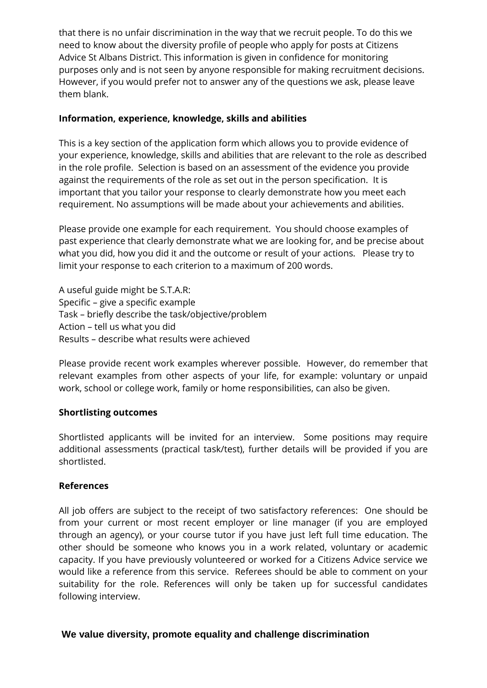that there is no unfair discrimination in the way that we recruit people. To do this we need to know about the diversity profile of people who apply for posts at Citizens Advice St Albans District. This information is given in confidence for monitoring purposes only and is not seen by anyone responsible for making recruitment decisions. However, if you would prefer not to answer any of the questions we ask, please leave them blank.

### **Information, experience, knowledge, skills and abilities**

This is a key section of the application form which allows you to provide evidence of your experience, knowledge, skills and abilities that are relevant to the role as described in the role profile. Selection is based on an assessment of the evidence you provide against the requirements of the role as set out in the person specification. It is important that you tailor your response to clearly demonstrate how you meet each requirement. No assumptions will be made about your achievements and abilities.

Please provide one example for each requirement. You should choose examples of past experience that clearly demonstrate what we are looking for, and be precise about what you did, how you did it and the outcome or result of your actions. Please try to limit your response to each criterion to a maximum of 200 words.

A useful guide might be S.T.A.R: Specific – give a specific example Task – briefly describe the task/objective/problem Action – tell us what you did Results – describe what results were achieved

Please provide recent work examples wherever possible. However, do remember that relevant examples from other aspects of your life, for example: voluntary or unpaid work, school or college work, family or home responsibilities, can also be given.

#### **Shortlisting outcomes**

Shortlisted applicants will be invited for an interview. Some positions may require additional assessments (practical task/test), further details will be provided if you are shortlisted.

#### **References**

All job offers are subject to the receipt of two satisfactory references: One should be from your current or most recent employer or line manager (if you are employed through an agency), or your course tutor if you have just left full time education. The other should be someone who knows you in a work related, voluntary or academic capacity. If you have previously volunteered or worked for a Citizens Advice service we would like a reference from this service. Referees should be able to comment on your suitability for the role. References will only be taken up for successful candidates following interview.

#### **We value diversity, promote equality and challenge discrimination**